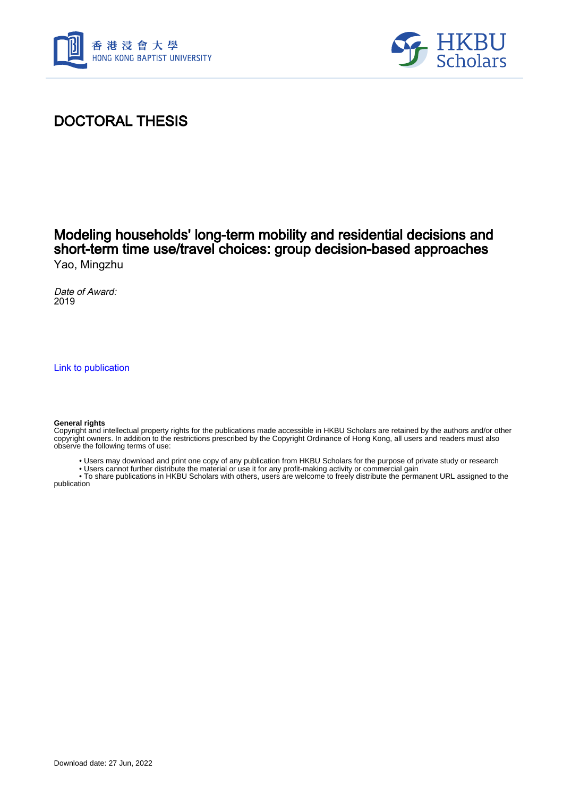



# DOCTORAL THESIS

### Modeling households' long-term mobility and residential decisions and short-term time use/travel choices: group decision-based approaches Yao, Mingzhu

Date of Award: 2019

[Link to publication](https://scholars.hkbu.edu.hk/en/studentTheses/0170a110-08bd-4079-aba3-eecbbddc22d9)

#### **General rights**

Copyright and intellectual property rights for the publications made accessible in HKBU Scholars are retained by the authors and/or other copyright owners. In addition to the restrictions prescribed by the Copyright Ordinance of Hong Kong, all users and readers must also observe the following terms of use:

- Users may download and print one copy of any publication from HKBU Scholars for the purpose of private study or research
- Users cannot further distribute the material or use it for any profit-making activity or commercial gain

 • To share publications in HKBU Scholars with others, users are welcome to freely distribute the permanent URL assigned to the publication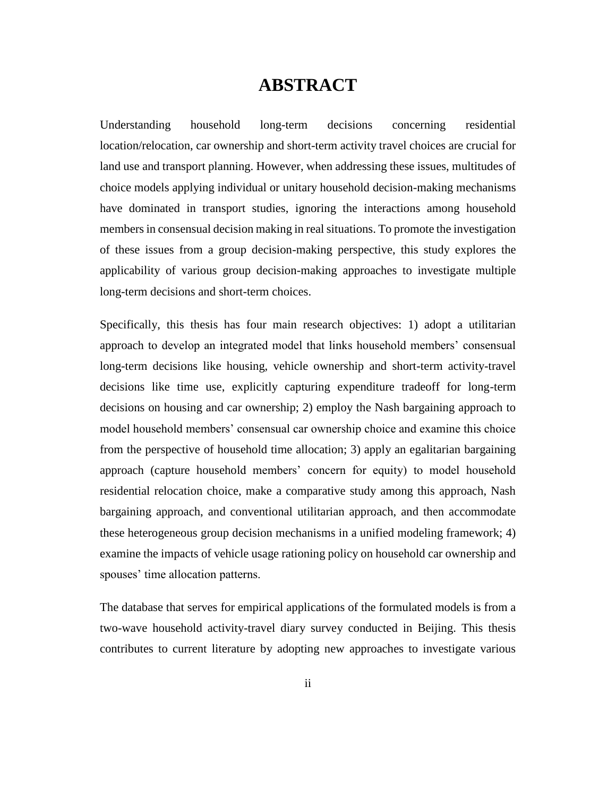## **ABSTRACT**

Understanding household long-term decisions concerning residential location/relocation, car ownership and short-term activity travel choices are crucial for land use and transport planning. However, when addressing these issues, multitudes of choice models applying individual or unitary household decision-making mechanisms have dominated in transport studies, ignoring the interactions among household members in consensual decision making in real situations. To promote the investigation of these issues from a group decision-making perspective, this study explores the applicability of various group decision-making approaches to investigate multiple long-term decisions and short-term choices.

Specifically, this thesis has four main research objectives: 1) adopt a utilitarian approach to develop an integrated model that links household members' consensual long-term decisions like housing, vehicle ownership and short-term activity-travel decisions like time use, explicitly capturing expenditure tradeoff for long-term decisions on housing and car ownership; 2) employ the Nash bargaining approach to model household members' consensual car ownership choice and examine this choice from the perspective of household time allocation; 3) apply an egalitarian bargaining approach (capture household members' concern for equity) to model household residential relocation choice, make a comparative study among this approach, Nash bargaining approach, and conventional utilitarian approach, and then accommodate these heterogeneous group decision mechanisms in a unified modeling framework; 4) examine the impacts of vehicle usage rationing policy on household car ownership and spouses' time allocation patterns.

The database that serves for empirical applications of the formulated models is from a two-wave household activity-travel diary survey conducted in Beijing. This thesis contributes to current literature by adopting new approaches to investigate various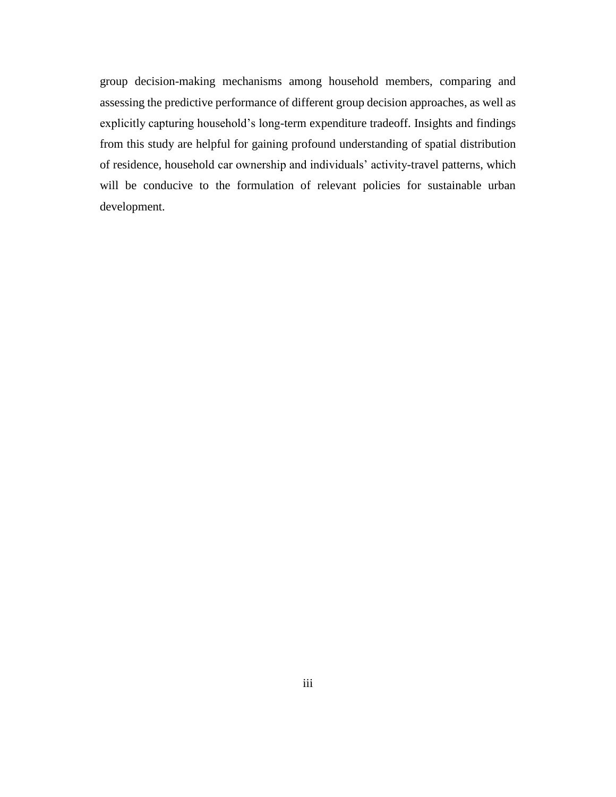group decision-making mechanisms among household members, comparing and assessing the predictive performance of different group decision approaches, as well as explicitly capturing household's long-term expenditure tradeoff. Insights and findings from this study are helpful for gaining profound understanding of spatial distribution of residence, household car ownership and individuals' activity-travel patterns, which will be conducive to the formulation of relevant policies for sustainable urban development.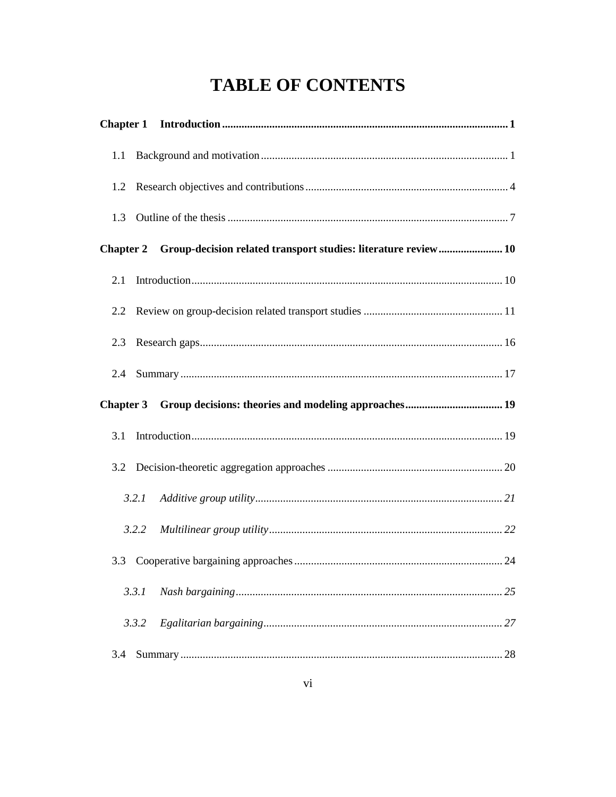# **TABLE OF CONTENTS**

| 1.1 |       |                                                                          |
|-----|-------|--------------------------------------------------------------------------|
| 1.2 |       |                                                                          |
| 1.3 |       |                                                                          |
|     |       | Chapter 2 Group-decision related transport studies: literature review 10 |
| 2.1 |       |                                                                          |
| 2.2 |       |                                                                          |
| 2.3 |       |                                                                          |
| 2.4 |       |                                                                          |
|     |       |                                                                          |
|     |       |                                                                          |
| 3.1 |       |                                                                          |
| 3.2 |       |                                                                          |
|     | 3.2.1 |                                                                          |
|     | 3.2.2 |                                                                          |
| 3.3 |       |                                                                          |
|     | 3.3.1 | 25                                                                       |
|     | 3.3.2 |                                                                          |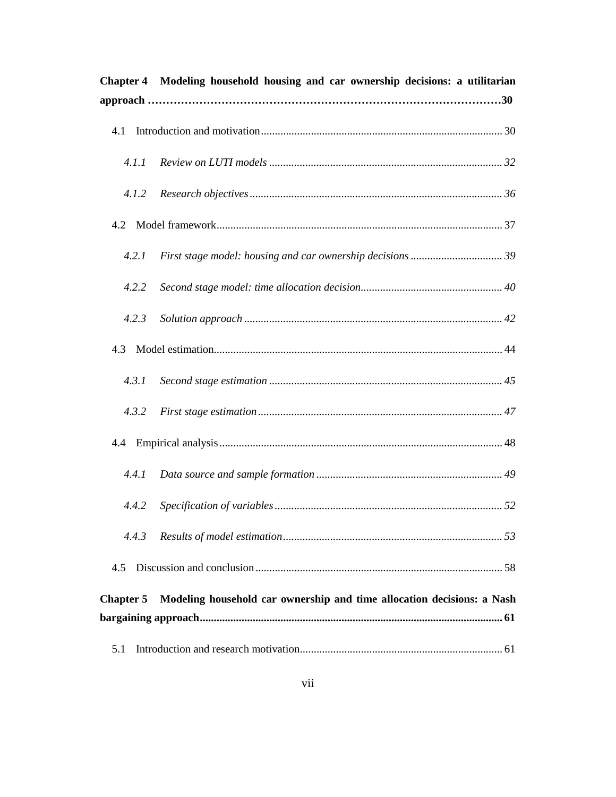| <b>Chapter 4</b> | Modeling household housing and car ownership decisions: a utilitarian  |
|------------------|------------------------------------------------------------------------|
| 4.1              |                                                                        |
| 4.1.1            |                                                                        |
| 4.1.2            |                                                                        |
|                  |                                                                        |
| 4.2.1            |                                                                        |
| 4.2.2            |                                                                        |
| 4.2.3            |                                                                        |
| 4.3              |                                                                        |
| 4.3.1            |                                                                        |
| 4.3.2            |                                                                        |
|                  |                                                                        |
| 4.4.1            |                                                                        |
| 4.4.2            |                                                                        |
| 4.4.3            |                                                                        |
| 4.5              |                                                                        |
| <b>Chapter 5</b> | Modeling household car ownership and time allocation decisions: a Nash |
|                  |                                                                        |
| 5.1              |                                                                        |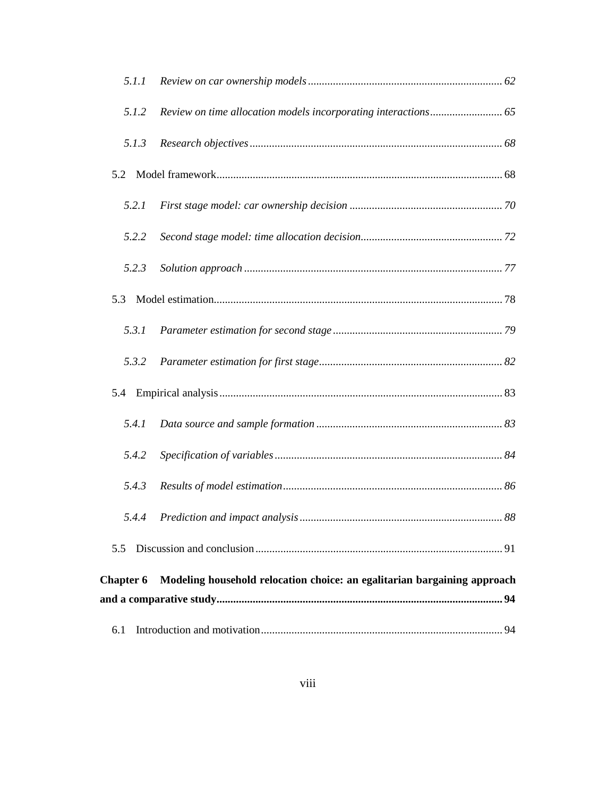| 5.1.1            |                                                                          |  |  |  |
|------------------|--------------------------------------------------------------------------|--|--|--|
| 5.1.2            |                                                                          |  |  |  |
| 5.1.3            |                                                                          |  |  |  |
| 5.2              |                                                                          |  |  |  |
| 5.2.1            |                                                                          |  |  |  |
| 5.2.2            |                                                                          |  |  |  |
| 5.2.3            |                                                                          |  |  |  |
| 5.3              |                                                                          |  |  |  |
| 5.3.1            |                                                                          |  |  |  |
| 5.3.2            |                                                                          |  |  |  |
| 5.4              |                                                                          |  |  |  |
| 5.4.1            |                                                                          |  |  |  |
| 5.4.2            |                                                                          |  |  |  |
| 5.4.3            |                                                                          |  |  |  |
| 5.4.4            |                                                                          |  |  |  |
| 5.5              |                                                                          |  |  |  |
| <b>Chapter 6</b> | Modeling household relocation choice: an egalitarian bargaining approach |  |  |  |
|                  |                                                                          |  |  |  |
| 6.1              |                                                                          |  |  |  |